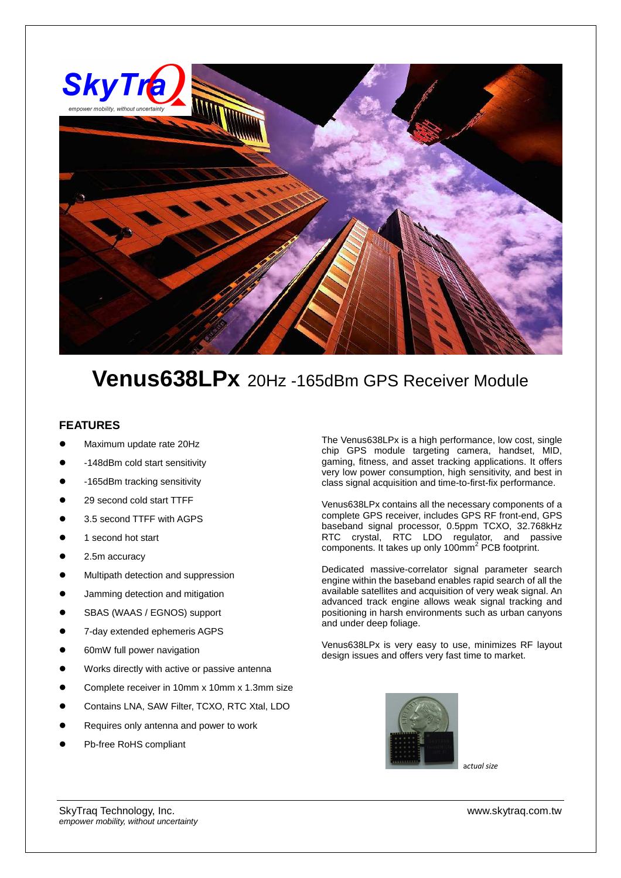

## **Venus638LPx** 20Hz -165dBm GPS Receiver Module

## **FEATURES**

- Maximum update rate 20Hz
- -148dBm cold start sensitivity
- -165dBm tracking sensitivity
- 29 second cold start TTFF
- 3.5 second TTFF with AGPS
- 1 second hot start
- 2.5m accuracy
- Multipath detection and suppression
- Jamming detection and mitigation
- SBAS (WAAS / EGNOS) support
- 7-day extended ephemeris AGPS
- 60mW full power navigation
- Works directly with active or passive antenna
- Complete receiver in 10mm x 10mm x 1.3mm size
- Contains LNA, SAW Filter, TCXO, RTC Xtal, LDO
- Requires only antenna and power to work
- Pb-free RoHS compliant

The Venus638LPx is a high performance, low cost, single chip GPS module targeting camera, handset, MID, gaming, fitness, and asset tracking applications. It offers very low power consumption, high sensitivity, and best in class signal acquisition and time-to-first-fix performance.

Venus638LPx contains all the necessary components of a complete GPS receiver, includes GPS RF front-end, GPS baseband signal processor, 0.5ppm TCXO, 32.768kHz RTC crystal, RTC LDO regulator, and passive components. It takes up only 100mm<sup>2</sup> PCB footprint.

Dedicated massive-correlator signal parameter search engine within the baseband enables rapid search of all the available satellites and acquisition of very weak signal. An advanced track engine allows weak signal tracking and positioning in harsh environments such as urban canyons and under deep foliage.

Venus638LPx is very easy to use, minimizes RF layout design issues and offers very fast time to market.



a*ctual size*